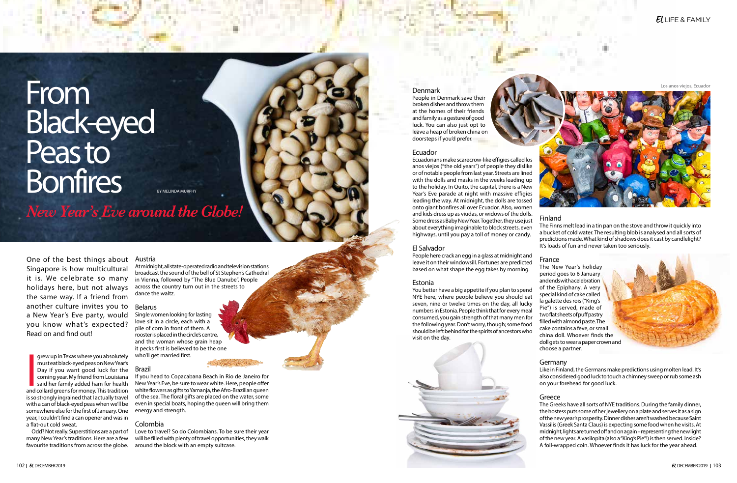# From Black-eyed Peas to **Bonfires**



*New Year's Eve around the Globe!*

BY MELINDA MURPHY

One of the best things about Singapore is how multicultural it is. We celebrate so many holidays here, but not always the same way. If a friend from another culture invites you to a New Year's Eve party, would you know what's expected? Read on and find out!

grew up in Texas where you absolutely<br>must eat black-eyed peas on New Year's<br>Day if you want good luck for the<br>coming year. My friend from Louisiana<br>said her family added ham for health<br>and collard greens for money. This t grew up in Texas where you absolutely must eat black-eyed peas on New Year's Day if you want good luck for the coming year. My friend from Louisiana said her family added ham for health is so strongly ingrained that I actually travel with a can of black-eyed peas when we'll be somewhere else for the first of January. One year, I couldn't find a can opener and was in a flat-out cold sweat.

Odd? Not really. Superstitions are a part of many New Year's traditions. Here are a few favourite traditions from across the globe.

Austria At midnight, all state-operated radio and television stations broadcast the sound of the bell of St Stephen's Cathedral in Vienna, followed by "The Blue Danube". People across the country turn out in the streets to dance the waltz.

# Belarus

Single women looking for lasting love sit in a circle, each with a pile of corn in front of them. A rooster is placed in the circle's centre, and the woman whose grain heap it pecks first is believed to be the one who'll get married first.

# Brazil

If you head to Copacabana Beach in Rio de Janeiro for New Year's Eve, be sure to wear white. Here, people offer white flowers as gifts to Yamanja, the Afro-Brazilian queen of the sea. The floral gifts are placed on the water, some even in special boats, hoping the queen will bring them energy and strength.

# Colombia

Love to travel? So do Colombians. To be sure their year will be filled with plenty of travel opportunities, they walk around the block with an empty suitcase.



People in Denmark save their broken dishes and throw them at the homes of their friends and family as a gesture of good luck. You can also just opt to leave a heap of broken china on doorsteps if you'd prefer.

### Ecuador

Ecuadorians make scarecrow-like effigies called los anos viejos ("the old years") of people they dislike or of notable people from last year. Streets are lined with the dolls and masks in the weeks leading up to the holiday. In Quito, the capital, there is a New Year's Eve parade at night with massive effigies leading the way. At midnight, the dolls are tossed onto giant bonfires all over Ecuador. Also, women and kids dress up as viudas, or widows of the dolls. Some dress as Baby New Year. Together, they use just about everything imaginable to block streets, even highways, until you pay a toll of money or candy.

# El Salvador

People here crack an egg in a glass at midnight and leave it on their windowsill. Fortunes are predicted based on what shape the egg takes by morning.

# Estonia

You better have a big appetite if you plan to spend NYE here, where people believe you should eat seven, nine or twelve times on the day, all lucky numbers in Estonia. People think that for every meal consumed, you gain strength of that many men for the following year. Don't worry, though; some food should be left behind for the spirits of ancestors who visit on the day.

# Finland

The Finns melt lead in a tin pan on the stove and throw it quickly into a bucket of cold water. The resulting blob is analysed and all sorts of predictions made. What kind of shadows does it cast by candlelight? It's loads of fun and never taken too seriously.

France

The New Year's holiday period goes to 6 January and ends with a celebration of the Epiphany. A very special kind of cake called la galette des rois ("King's Pie") is served, made of two flat sheets of puff pastry filled with almond paste. The cake contains a feve, or small china doll. Whoever finds the doll gets to wear a paper crown and choose a partner.

Germany

Like in Finland, the Germans make predictions using molten lead. It's also considered good luck to touch a chimney sweep or rub some ash on your forehead for good luck.

Greece

# $E$  LIFE & FAMILY



The Greeks have all sorts of NYE traditions. During the family dinner, the hostess puts some of her jewellery on a plate and serves it as a sign of the new year's prosperity. Dinner dishes aren't washed because Saint Vassilis (Greek Santa Claus) is expecting some food when he visits. At midnight, lights are turned off and on again – representing the new light of the new year. A vasilopita (also a "King's Pie"!) is then served. Inside? A foil-wrapped coin. Whoever finds it has luck for the year ahead.

Los anos viejos, Ecuador